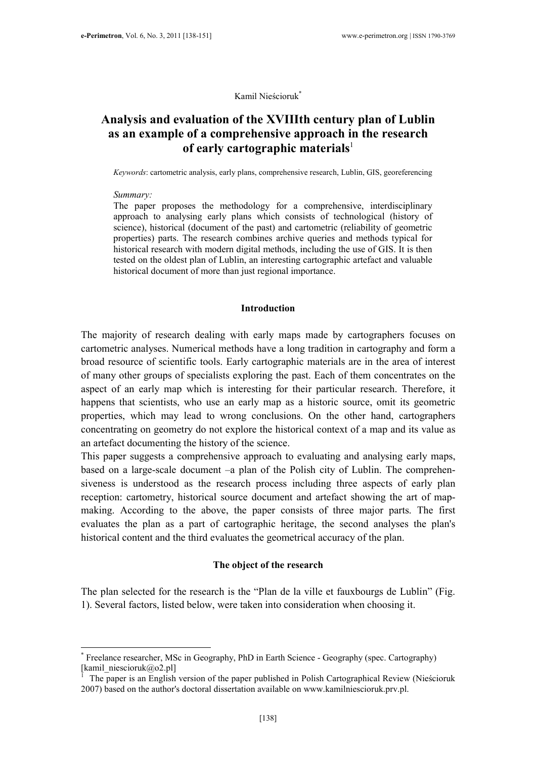Kamil Nieścioruk\*

# Analysis and evaluation of the XVIIIth century plan of Lublin as an example of a comprehensive approach in the research of early cartographic materials $\mathbf{I}$

Keywords: cartometric analysis, early plans, comprehensive research, Lublin, GIS, georeferencing

#### Summary:

 $\overline{a}$ 

The paper proposes the methodology for a comprehensive, interdisciplinary approach to analysing early plans which consists of technological (history of science), historical (document of the past) and cartometric (reliability of geometric properties) parts. The research combines archive queries and methods typical for historical research with modern digital methods, including the use of GIS. It is then tested on the oldest plan of Lublin, an interesting cartographic artefact and valuable historical document of more than just regional importance.

### Introduction

The majority of research dealing with early maps made by cartographers focuses on cartometric analyses. Numerical methods have a long tradition in cartography and form a broad resource of scientific tools. Early cartographic materials are in the area of interest of many other groups of specialists exploring the past. Each of them concentrates on the aspect of an early map which is interesting for their particular research. Therefore, it happens that scientists, who use an early map as a historic source, omit its geometric properties, which may lead to wrong conclusions. On the other hand, cartographers concentrating on geometry do not explore the historical context of a map and its value as an artefact documenting the history of the science.

This paper suggests a comprehensive approach to evaluating and analysing early maps, based on a large-scale document –a plan of the Polish city of Lublin. The comprehensiveness is understood as the research process including three aspects of early plan reception: cartometry, historical source document and artefact showing the art of mapmaking. According to the above, the paper consists of three major parts. The first evaluates the plan as a part of cartographic heritage, the second analyses the plan's historical content and the third evaluates the geometrical accuracy of the plan.

### The object of the research

The plan selected for the research is the "Plan de la ville et fauxbourgs de Lublin" (Fig. 1). Several factors, listed below, were taken into consideration when choosing it.

<sup>\*</sup> Freelance researcher, MSc in Geography, PhD in Earth Science - Geography (spec. Cartography) [kamil\_niescioruk@o2.pl]

<sup>1</sup> The paper is an English version of the paper published in Polish Cartographical Review (Nieścioruk 2007) based on the author's doctoral dissertation available on www.kamilniescioruk.prv.pl.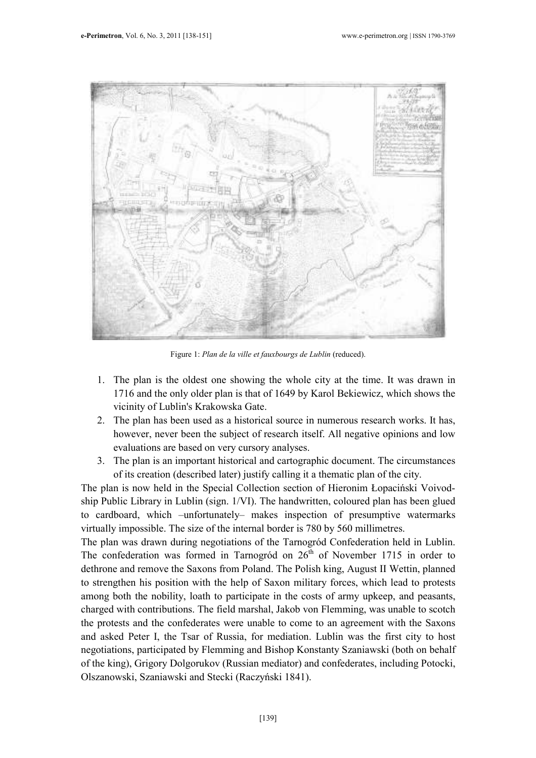

Figure 1: Plan de la ville et fauxbourgs de Lublin (reduced).

- 1. The plan is the oldest one showing the whole city at the time. It was drawn in 1716 and the only older plan is that of 1649 by Karol Bekiewicz, which shows the vicinity of Lublin's Krakowska Gate.
- 2. The plan has been used as a historical source in numerous research works. It has, however, never been the subject of research itself. All negative opinions and low evaluations are based on very cursory analyses.
- 3. The plan is an important historical and cartographic document. The circumstances of its creation (described later) justify calling it a thematic plan of the city.

The plan is now held in the Special Collection section of Hieronim Łopaciński Voivodship Public Library in Lublin (sign. 1/VI). The handwritten, coloured plan has been glued to cardboard, which –unfortunately– makes inspection of presumptive watermarks virtually impossible. The size of the internal border is 780 by 560 millimetres.

The plan was drawn during negotiations of the Tarnogród Confederation held in Lublin. The confederation was formed in Tarnogród on  $26<sup>th</sup>$  of November 1715 in order to dethrone and remove the Saxons from Poland. The Polish king, August II Wettin, planned to strengthen his position with the help of Saxon military forces, which lead to protests among both the nobility, loath to participate in the costs of army upkeep, and peasants, charged with contributions. The field marshal, Jakob von Flemming, was unable to scotch the protests and the confederates were unable to come to an agreement with the Saxons and asked Peter I, the Tsar of Russia, for mediation. Lublin was the first city to host negotiations, participated by Flemming and Bishop Konstanty Szaniawski (both on behalf of the king), Grigory Dolgorukov (Russian mediator) and confederates, including Potocki, Olszanowski, Szaniawski and Stecki (Raczyński 1841).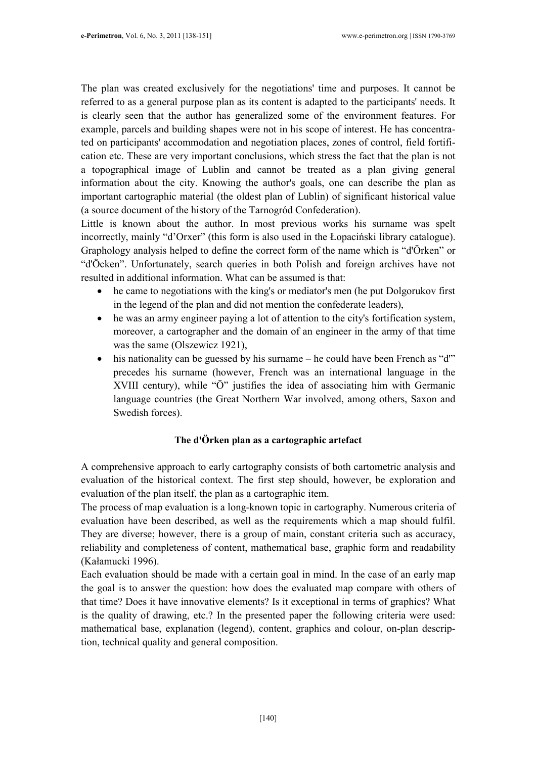The plan was created exclusively for the negotiations' time and purposes. It cannot be referred to as a general purpose plan as its content is adapted to the participants' needs. It is clearly seen that the author has generalized some of the environment features. For example, parcels and building shapes were not in his scope of interest. He has concentrated on participants' accommodation and negotiation places, zones of control, field fortification etc. These are very important conclusions, which stress the fact that the plan is not a topographical image of Lublin and cannot be treated as a plan giving general information about the city. Knowing the author's goals, one can describe the plan as important cartographic material (the oldest plan of Lublin) of significant historical value (a source document of the history of the Tarnogród Confederation).

Little is known about the author. In most previous works his surname was spelt incorrectly, mainly "d'Orxer" (this form is also used in the Łopaciński library catalogue). Graphology analysis helped to define the correct form of the name which is "d'Örken" or "d'Öcken". Unfortunately, search queries in both Polish and foreign archives have not resulted in additional information. What can be assumed is that:

- he came to negotiations with the king's or mediator's men (he put Dolgorukov first in the legend of the plan and did not mention the confederate leaders),
- he was an army engineer paying a lot of attention to the city's fortification system, moreover, a cartographer and the domain of an engineer in the army of that time was the same (Olszewicz 1921),
- his nationality can be guessed by his surname he could have been French as "d" precedes his surname (however, French was an international language in the XVIII century), while "Ö" justifies the idea of associating him with Germanic language countries (the Great Northern War involved, among others, Saxon and Swedish forces).

## The d'Örken plan as a cartographic artefact

A comprehensive approach to early cartography consists of both cartometric analysis and evaluation of the historical context. The first step should, however, be exploration and evaluation of the plan itself, the plan as a cartographic item.

The process of map evaluation is a long-known topic in cartography. Numerous criteria of evaluation have been described, as well as the requirements which a map should fulfil. They are diverse; however, there is a group of main, constant criteria such as accuracy, reliability and completeness of content, mathematical base, graphic form and readability (Kałamucki 1996).

Each evaluation should be made with a certain goal in mind. In the case of an early map the goal is to answer the question: how does the evaluated map compare with others of that time? Does it have innovative elements? Is it exceptional in terms of graphics? What is the quality of drawing, etc.? In the presented paper the following criteria were used: mathematical base, explanation (legend), content, graphics and colour, on-plan description, technical quality and general composition.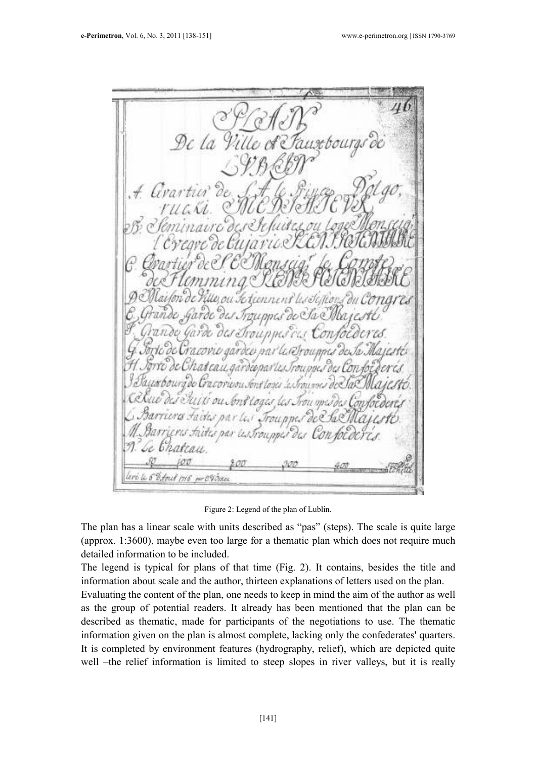De la US. pn) U.Groupot lee na no toais is. *Irounne*, ronooc eri li 6 d'Amit 1916 m CV dans

Figure 2: Legend of the plan of Lublin.

The plan has a linear scale with units described as "pas" (steps). The scale is quite large (approx. 1:3600), maybe even too large for a thematic plan which does not require much detailed information to be included.

The legend is typical for plans of that time (Fig. 2). It contains, besides the title and information about scale and the author, thirteen explanations of letters used on the plan.

Evaluating the content of the plan, one needs to keep in mind the aim of the author as well as the group of potential readers. It already has been mentioned that the plan can be described as thematic, made for participants of the negotiations to use. The thematic information given on the plan is almost complete, lacking only the confederates' quarters. It is completed by environment features (hydrography, relief), which are depicted quite well –the relief information is limited to steep slopes in river valleys, but it is really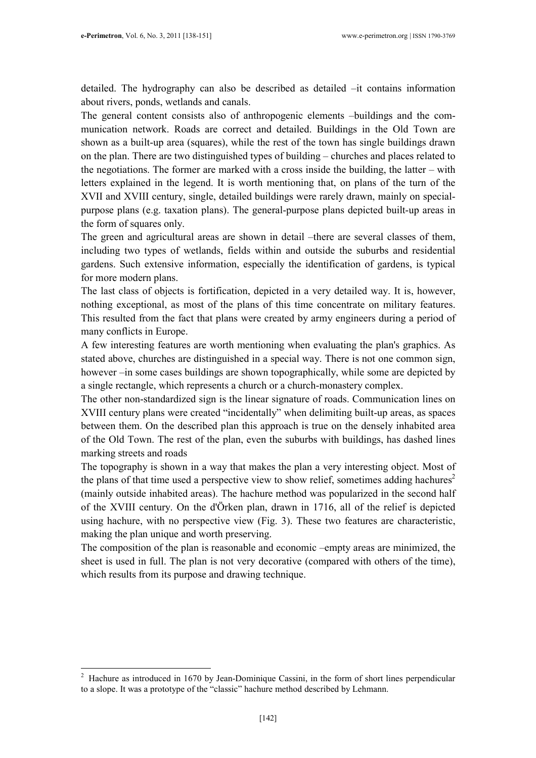detailed. The hydrography can also be described as detailed –it contains information about rivers, ponds, wetlands and canals.

The general content consists also of anthropogenic elements –buildings and the communication network. Roads are correct and detailed. Buildings in the Old Town are shown as a built-up area (squares), while the rest of the town has single buildings drawn on the plan. There are two distinguished types of building – churches and places related to the negotiations. The former are marked with a cross inside the building, the latter – with letters explained in the legend. It is worth mentioning that, on plans of the turn of the XVII and XVIII century, single, detailed buildings were rarely drawn, mainly on specialpurpose plans (e.g. taxation plans). The general-purpose plans depicted built-up areas in the form of squares only.

The green and agricultural areas are shown in detail –there are several classes of them, including two types of wetlands, fields within and outside the suburbs and residential gardens. Such extensive information, especially the identification of gardens, is typical for more modern plans.

The last class of objects is fortification, depicted in a very detailed way. It is, however, nothing exceptional, as most of the plans of this time concentrate on military features. This resulted from the fact that plans were created by army engineers during a period of many conflicts in Europe.

A few interesting features are worth mentioning when evaluating the plan's graphics. As stated above, churches are distinguished in a special way. There is not one common sign, however –in some cases buildings are shown topographically, while some are depicted by a single rectangle, which represents a church or a church-monastery complex.

The other non-standardized sign is the linear signature of roads. Communication lines on XVIII century plans were created "incidentally" when delimiting built-up areas, as spaces between them. On the described plan this approach is true on the densely inhabited area of the Old Town. The rest of the plan, even the suburbs with buildings, has dashed lines marking streets and roads

The topography is shown in a way that makes the plan a very interesting object. Most of the plans of that time used a perspective view to show relief, sometimes adding hachures<sup>2</sup> (mainly outside inhabited areas). The hachure method was popularized in the second half of the XVIII century. On the d'Örken plan, drawn in 1716, all of the relief is depicted using hachure, with no perspective view (Fig. 3). These two features are characteristic, making the plan unique and worth preserving.

The composition of the plan is reasonable and economic –empty areas are minimized, the sheet is used in full. The plan is not very decorative (compared with others of the time), which results from its purpose and drawing technique.

 $\sqrt{2}$ Hachure as introduced in 1670 by Jean-Dominique Cassini, in the form of short lines perpendicular to a slope. It was a prototype of the "classic" hachure method described by Lehmann.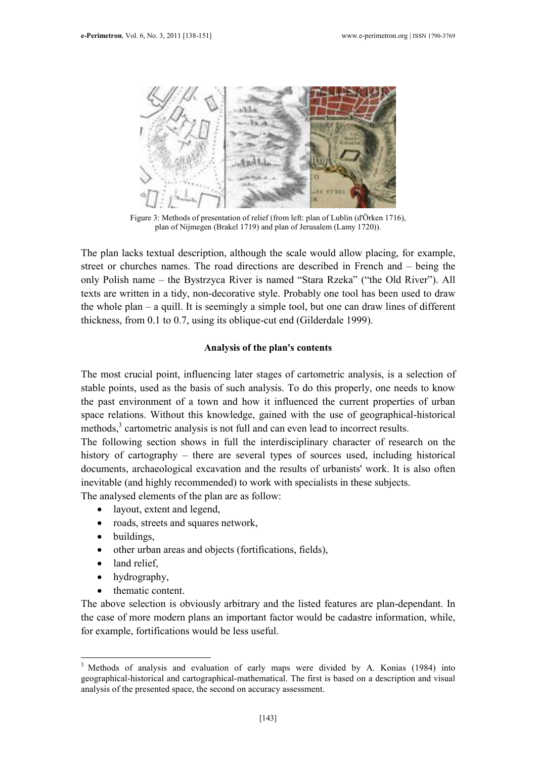

Figure 3: Methods of presentation of relief (from left: plan of Lublin (d'Örken 1716), plan of Nijmegen (Brakel 1719) and plan of Jerusalem (Lamy 1720)).

The plan lacks textual description, although the scale would allow placing, for example, street or churches names. The road directions are described in French and – being the only Polish name – the Bystrzyca River is named "Stara Rzeka" ("the Old River"). All texts are written in a tidy, non-decorative style. Probably one tool has been used to draw the whole plan – a quill. It is seemingly a simple tool, but one can draw lines of different thickness, from 0.1 to 0.7, using its oblique-cut end (Gilderdale 1999).

### Analysis of the plan's contents

The most crucial point, influencing later stages of cartometric analysis, is a selection of stable points, used as the basis of such analysis. To do this properly, one needs to know the past environment of a town and how it influenced the current properties of urban space relations. Without this knowledge, gained with the use of geographical-historical methods,<sup>3</sup> cartometric analysis is not full and can even lead to incorrect results.

The following section shows in full the interdisciplinary character of research on the history of cartography – there are several types of sources used, including historical documents, archaeological excavation and the results of urbanists' work. It is also often inevitable (and highly recommended) to work with specialists in these subjects.

The analysed elements of the plan are as follow:

- layout, extent and legend,
- roads, streets and squares network,
- buildings,
- other urban areas and objects (fortifications, fields),
- land relief,

 $\overline{a}$ 

- hydrography,
- thematic content.

The above selection is obviously arbitrary and the listed features are plan-dependant. In the case of more modern plans an important factor would be cadastre information, while, for example, fortifications would be less useful.

<sup>&</sup>lt;sup>3</sup> Methods of analysis and evaluation of early maps were divided by A. Konias (1984) into geographical-historical and cartographical-mathematical. The first is based on a description and visual analysis of the presented space, the second on accuracy assessment.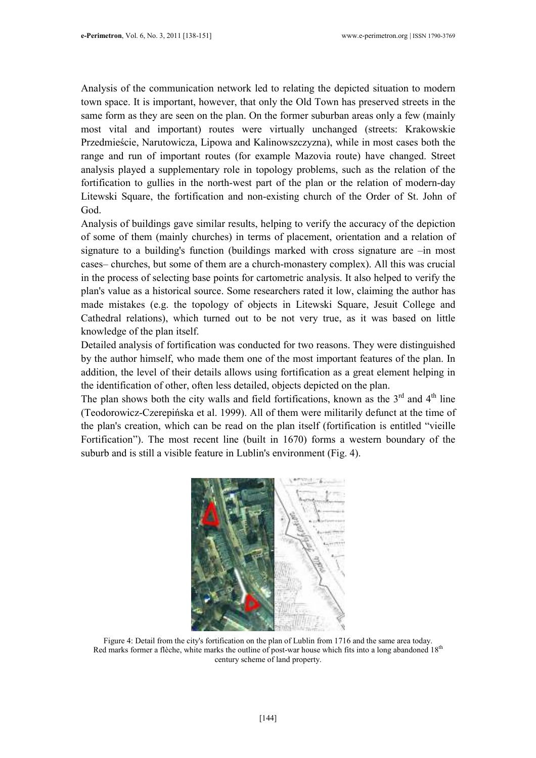Analysis of the communication network led to relating the depicted situation to modern town space. It is important, however, that only the Old Town has preserved streets in the same form as they are seen on the plan. On the former suburban areas only a few (mainly most vital and important) routes were virtually unchanged (streets: Krakowskie Przedmieście, Narutowicza, Lipowa and Kalinowszczyzna), while in most cases both the range and run of important routes (for example Mazovia route) have changed. Street analysis played a supplementary role in topology problems, such as the relation of the fortification to gullies in the north-west part of the plan or the relation of modern-day Litewski Square, the fortification and non-existing church of the Order of St. John of God.

Analysis of buildings gave similar results, helping to verify the accuracy of the depiction of some of them (mainly churches) in terms of placement, orientation and a relation of signature to a building's function (buildings marked with cross signature are –in most cases– churches, but some of them are a church-monastery complex). All this was crucial in the process of selecting base points for cartometric analysis. It also helped to verify the plan's value as a historical source. Some researchers rated it low, claiming the author has made mistakes (e.g. the topology of objects in Litewski Square, Jesuit College and Cathedral relations), which turned out to be not very true, as it was based on little knowledge of the plan itself.

Detailed analysis of fortification was conducted for two reasons. They were distinguished by the author himself, who made them one of the most important features of the plan. In addition, the level of their details allows using fortification as a great element helping in the identification of other, often less detailed, objects depicted on the plan.

The plan shows both the city walls and field fortifications, known as the  $3<sup>rd</sup>$  and  $4<sup>th</sup>$  line (Teodorowicz-Czerepińska et al. 1999). All of them were militarily defunct at the time of the plan's creation, which can be read on the plan itself (fortification is entitled "vieille Fortification"). The most recent line (built in 1670) forms a western boundary of the suburb and is still a visible feature in Lublin's environment (Fig. 4).



Figure 4: Detail from the city's fortification on the plan of Lublin from 1716 and the same area today. Red marks former a flèche, white marks the outline of post-war house which fits into a long abandoned 18<sup>th</sup> century scheme of land property.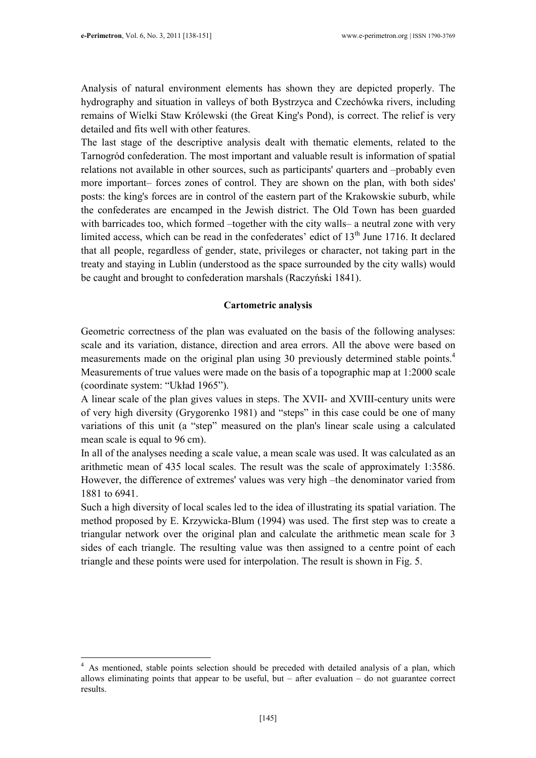$\overline{a}$ 

Analysis of natural environment elements has shown they are depicted properly. The hydrography and situation in valleys of both Bystrzyca and Czechówka rivers, including remains of Wielki Staw Królewski (the Great King's Pond), is correct. The relief is very detailed and fits well with other features.

The last stage of the descriptive analysis dealt with thematic elements, related to the Tarnogród confederation. The most important and valuable result is information of spatial relations not available in other sources, such as participants' quarters and –probably even more important– forces zones of control. They are shown on the plan, with both sides' posts: the king's forces are in control of the eastern part of the Krakowskie suburb, while the confederates are encamped in the Jewish district. The Old Town has been guarded with barricades too, which formed –together with the city walls– a neutral zone with very limited access, which can be read in the confederates' edict of 13<sup>th</sup> June 1716. It declared that all people, regardless of gender, state, privileges or character, not taking part in the treaty and staying in Lublin (understood as the space surrounded by the city walls) would be caught and brought to confederation marshals (Raczyński 1841).

### Cartometric analysis

Geometric correctness of the plan was evaluated on the basis of the following analyses: scale and its variation, distance, direction and area errors. All the above were based on measurements made on the original plan using 30 previously determined stable points.<sup>4</sup> Measurements of true values were made on the basis of a topographic map at 1:2000 scale (coordinate system: "Układ 1965").

A linear scale of the plan gives values in steps. The XVII- and XVIII-century units were of very high diversity (Grygorenko 1981) and "steps" in this case could be one of many variations of this unit (a "step" measured on the plan's linear scale using a calculated mean scale is equal to 96 cm).

In all of the analyses needing a scale value, a mean scale was used. It was calculated as an arithmetic mean of 435 local scales. The result was the scale of approximately 1:3586. However, the difference of extremes' values was very high –the denominator varied from 1881 to 6941.

Such a high diversity of local scales led to the idea of illustrating its spatial variation. The method proposed by E. Krzywicka-Blum (1994) was used. The first step was to create a triangular network over the original plan and calculate the arithmetic mean scale for 3 sides of each triangle. The resulting value was then assigned to a centre point of each triangle and these points were used for interpolation. The result is shown in Fig. 5.

<sup>&</sup>lt;sup>4</sup> As mentioned, stable points selection should be preceded with detailed analysis of a plan, which allows eliminating points that appear to be useful, but – after evaluation – do not guarantee correct results.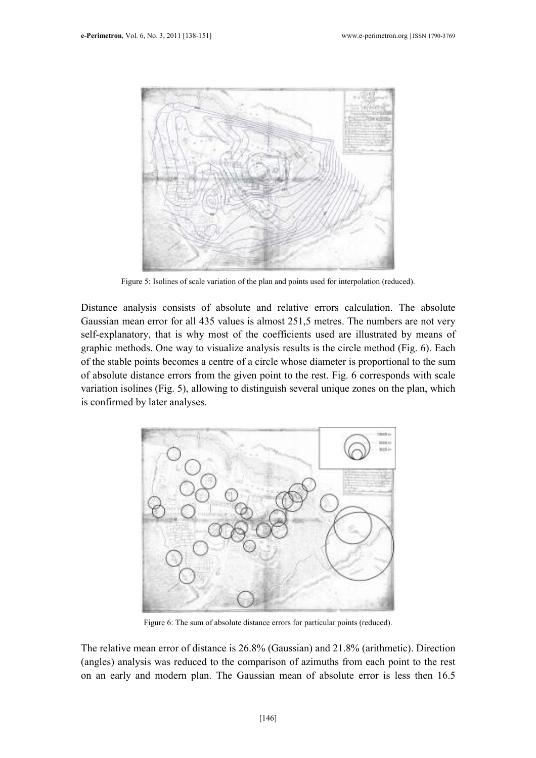

Figure 5: Isolines of scale variation of the plan and points used for interpolation (reduced).

Distance analysis consists of absolute and relative errors calculation. The absolute Gaussian mean error for all 435 values is almost 251,5 metres. The numbers are not very self-explanatory, that is why most of the coefficients used are illustrated by means of graphic methods. One way to visualize analysis results is the circle method (Fig. 6). Each of the stable points becomes a centre of a circle whose diameter is proportional to the sum of absolute distance errors from the given point to the rest. Fig. 6 corresponds with scale variation isolines (Fig. 5), allowing to distinguish several unique zones on the plan, which is confirmed by later analyses.



Figure 6: The sum of absolute distance errors for particular points (reduced).

The relative mean error of distance is 26.8% (Gaussian) and 21.8% (arithmetic). Direction (angles) analysis was reduced to the comparison of azimuths from each point to the rest on an early and modern plan. The Gaussian mean of absolute error is less then 16.5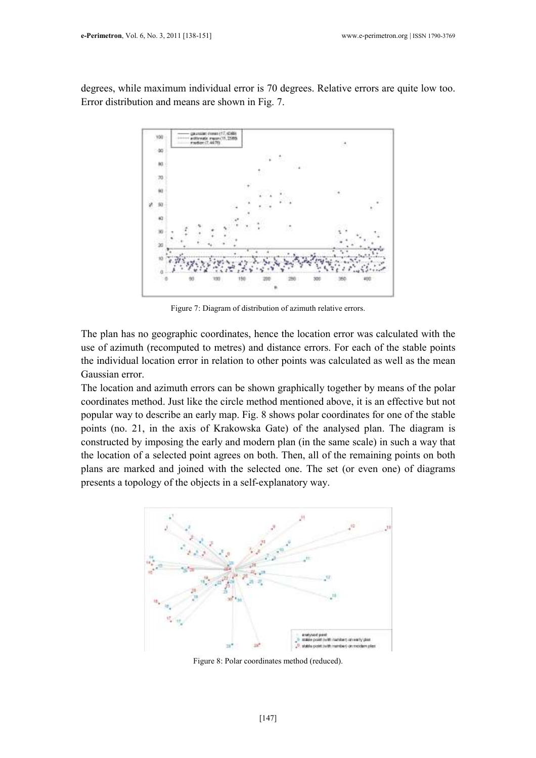degrees, while maximum individual error is 70 degrees. Relative errors are quite low too. Error distribution and means are shown in Fig. 7.



Figure 7: Diagram of distribution of azimuth relative errors.

The plan has no geographic coordinates, hence the location error was calculated with the use of azimuth (recomputed to metres) and distance errors. For each of the stable points the individual location error in relation to other points was calculated as well as the mean Gaussian error.

The location and azimuth errors can be shown graphically together by means of the polar coordinates method. Just like the circle method mentioned above, it is an effective but not popular way to describe an early map. Fig. 8 shows polar coordinates for one of the stable points (no. 21, in the axis of Krakowska Gate) of the analysed plan. The diagram is constructed by imposing the early and modern plan (in the same scale) in such a way that the location of a selected point agrees on both. Then, all of the remaining points on both plans are marked and joined with the selected one. The set (or even one) of diagrams presents a topology of the objects in a self-explanatory way.



Figure 8: Polar coordinates method (reduced).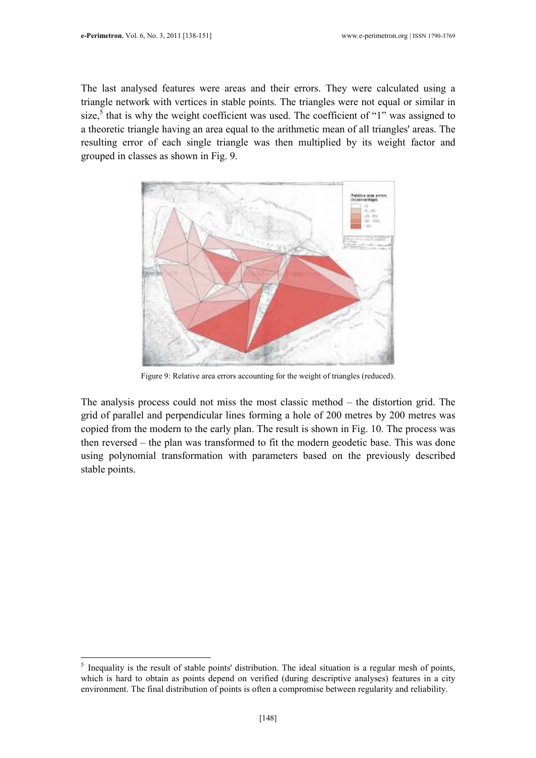$\overline{a}$ 

The last analysed features were areas and their errors. They were calculated using a triangle network with vertices in stable points. The triangles were not equal or similar in size,<sup>5</sup> that is why the weight coefficient was used. The coefficient of "1" was assigned to a theoretic triangle having an area equal to the arithmetic mean of all triangles' areas. The resulting error of each single triangle was then multiplied by its weight factor and grouped in classes as shown in Fig. 9.



Figure 9: Relative area errors accounting for the weight of triangles (reduced).

The analysis process could not miss the most classic method – the distortion grid. The grid of parallel and perpendicular lines forming a hole of 200 metres by 200 metres was copied from the modern to the early plan. The result is shown in Fig. 10. The process was then reversed – the plan was transformed to fit the modern geodetic base. This was done using polynomial transformation with parameters based on the previously described stable points.

 $<sup>5</sup>$  Inequality is the result of stable points' distribution. The ideal situation is a regular mesh of points,</sup> which is hard to obtain as points depend on verified (during descriptive analyses) features in a city environment. The final distribution of points is often a compromise between regularity and reliability.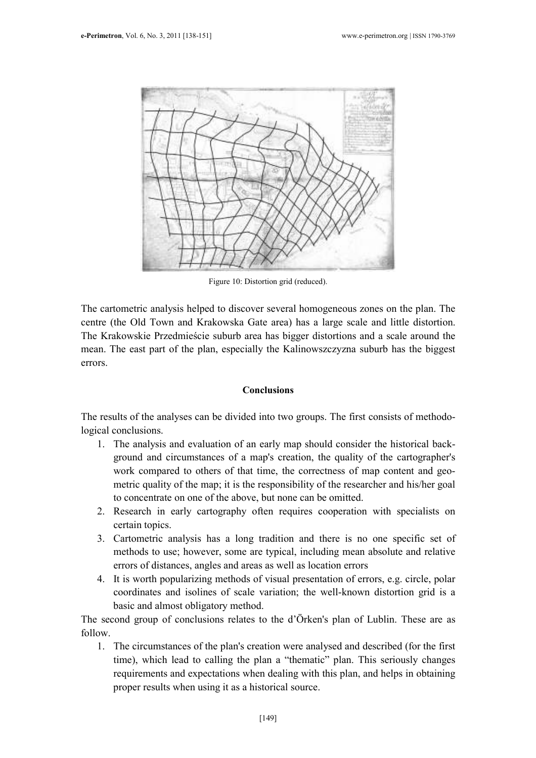

Figure 10: Distortion grid (reduced).

The cartometric analysis helped to discover several homogeneous zones on the plan. The centre (the Old Town and Krakowska Gate area) has a large scale and little distortion. The Krakowskie Przedmieście suburb area has bigger distortions and a scale around the mean. The east part of the plan, especially the Kalinowszczyzna suburb has the biggest errors.

## Conclusions

The results of the analyses can be divided into two groups. The first consists of methodological conclusions.

- 1. The analysis and evaluation of an early map should consider the historical background and circumstances of a map's creation, the quality of the cartographer's work compared to others of that time, the correctness of map content and geometric quality of the map; it is the responsibility of the researcher and his/her goal to concentrate on one of the above, but none can be omitted.
- 2. Research in early cartography often requires cooperation with specialists on certain topics.
- 3. Cartometric analysis has a long tradition and there is no one specific set of methods to use; however, some are typical, including mean absolute and relative errors of distances, angles and areas as well as location errors
- 4. It is worth popularizing methods of visual presentation of errors, e.g. circle, polar coordinates and isolines of scale variation; the well-known distortion grid is a basic and almost obligatory method.

The second group of conclusions relates to the d'Örken's plan of Lublin. These are as follow.

1. The circumstances of the plan's creation were analysed and described (for the first time), which lead to calling the plan a "thematic" plan. This seriously changes requirements and expectations when dealing with this plan, and helps in obtaining proper results when using it as a historical source.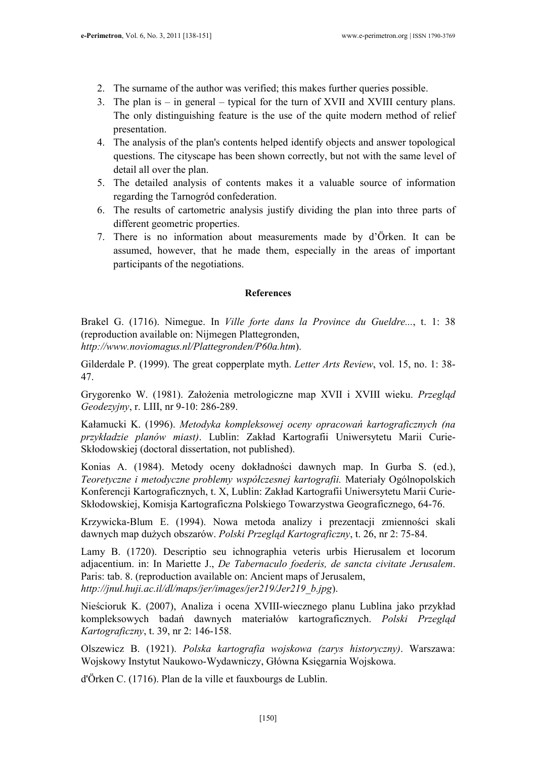- 2. The surname of the author was verified; this makes further queries possible.
- 3. The plan is in general typical for the turn of XVII and XVIII century plans. The only distinguishing feature is the use of the quite modern method of relief presentation.
- 4. The analysis of the plan's contents helped identify objects and answer topological questions. The cityscape has been shown correctly, but not with the same level of detail all over the plan.
- 5. The detailed analysis of contents makes it a valuable source of information regarding the Tarnogród confederation.
- 6. The results of cartometric analysis justify dividing the plan into three parts of different geometric properties.
- 7. There is no information about measurements made by d'Örken. It can be assumed, however, that he made them, especially in the areas of important participants of the negotiations.

## References

Brakel G. (1716). Nimegue. In Ville forte dans la Province du Gueldre..., t. 1: 38 (reproduction available on: Nijmegen Plattegronden, http://www.noviomagus.nl/Plattegronden/P60a.htm).

Gilderdale P. (1999). The great copperplate myth. Letter Arts Review, vol. 15, no. 1: 38-47.

Grygorenko W. (1981). Założenia metrologiczne map XVII i XVIII wieku. Przegląd Geodezyjny, r. LIII, nr 9-10: 286-289.

Kałamucki K. (1996). Metodyka kompleksowej oceny opracowań kartograficznych (na przykładzie planów miast). Lublin: Zakład Kartografii Uniwersytetu Marii Curie-Skłodowskiej (doctoral dissertation, not published).

Konias A. (1984). Metody oceny dokładności dawnych map. In Gurba S. (ed.), Teoretyczne i metodyczne problemy współczesnej kartografii. Materiały Ogólnopolskich Konferencji Kartograficznych, t. X, Lublin: Zakład Kartografii Uniwersytetu Marii Curie-Skłodowskiej, Komisja Kartograficzna Polskiego Towarzystwa Geograficznego, 64-76.

Krzywicka-Blum E. (1994). Nowa metoda analizy i prezentacji zmienności skali dawnych map dużych obszarów. Polski Przegląd Kartograficzny, t. 26, nr 2: 75-84.

Lamy B. (1720). Descriptio seu ichnographia veteris urbis Hierusalem et locorum adjacentium. in: In Mariette J., De Tabernaculo foederis, de sancta civitate Jerusalem. Paris: tab. 8. (reproduction available on: Ancient maps of Jerusalem, http://jnul.huji.ac.il/dl/maps/jer/images/jer219/Jer219 b.jpg).

Nieścioruk K. (2007), Analiza i ocena XVIII-wiecznego planu Lublina jako przykład kompleksowych badań dawnych materiałów kartograficznych. Polski Przegląd Kartograficzny, t. 39, nr 2: 146-158.

Olszewicz B. (1921). Polska kartografia wojskowa (zarys historyczny). Warszawa: Wojskowy Instytut Naukowo-Wydawniczy, Główna Księgarnia Wojskowa.

d'Örken C. (1716). Plan de la ville et fauxbourgs de Lublin.